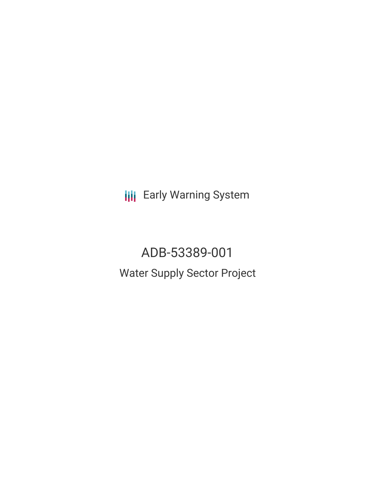**III** Early Warning System

ADB-53389-001 Water Supply Sector Project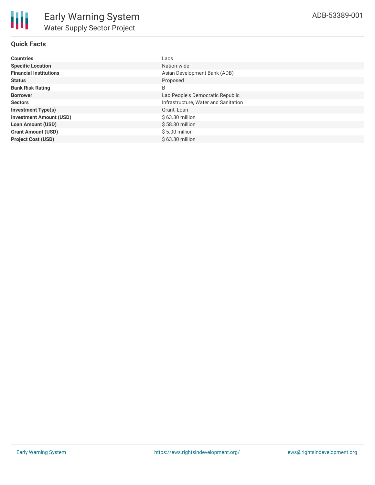## **Quick Facts**

| <b>Countries</b>               | Laos                                 |
|--------------------------------|--------------------------------------|
| <b>Specific Location</b>       | Nation-wide                          |
| <b>Financial Institutions</b>  | Asian Development Bank (ADB)         |
| <b>Status</b>                  | Proposed                             |
| <b>Bank Risk Rating</b>        | B                                    |
| <b>Borrower</b>                | Lao People's Democratic Republic     |
| <b>Sectors</b>                 | Infrastructure, Water and Sanitation |
| <b>Investment Type(s)</b>      | Grant, Loan                          |
| <b>Investment Amount (USD)</b> | $$63.30$ million                     |
| <b>Loan Amount (USD)</b>       | $$58.30$ million                     |
| <b>Grant Amount (USD)</b>      | $$5.00$ million                      |
| <b>Project Cost (USD)</b>      | \$63.30 million                      |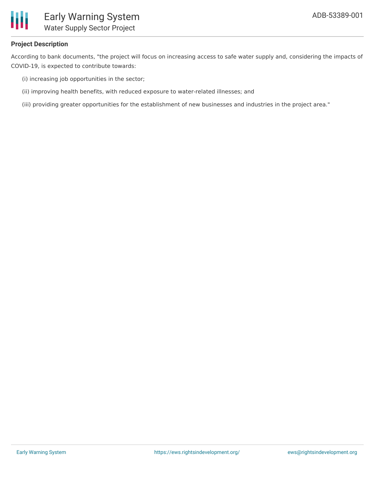

# **Project Description**

According to bank documents, "the project will focus on increasing access to safe water supply and, considering the impacts of COVID-19, is expected to contribute towards:

- (i) increasing job opportunities in the sector;
- (ii) improving health benefits, with reduced exposure to water-related illnesses; and
- (iii) providing greater opportunities for the establishment of new businesses and industries in the project area."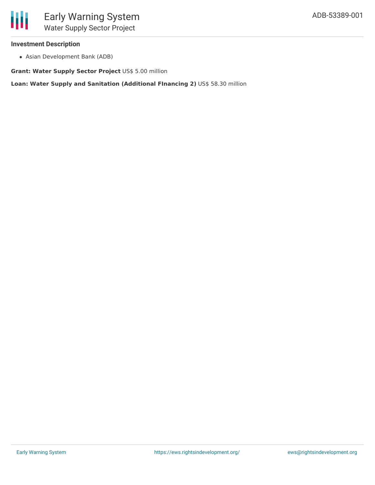

## **Investment Description**

Asian Development Bank (ADB)

**Grant: Water Supply Sector Project** US\$ 5.00 million

**Loan: Water Supply and Sanitation (Additional FInancing 2)** US\$ 58.30 million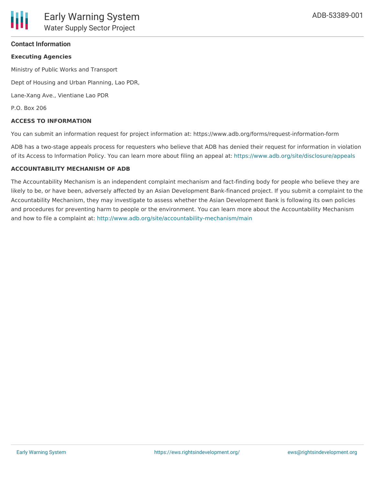## **Contact Information**

### **Executing Agencies**

Ministry of Public Works and Transport

Dept of Housing and Urban Planning, Lao PDR,

Lane-Xang Ave., Vientiane Lao PDR

P.O. Box 206

### **ACCESS TO INFORMATION**

You can submit an information request for project information at: https://www.adb.org/forms/request-information-form

ADB has a two-stage appeals process for requesters who believe that ADB has denied their request for information in violation of its Access to Information Policy. You can learn more about filing an appeal at: <https://www.adb.org/site/disclosure/appeals>

#### **ACCOUNTABILITY MECHANISM OF ADB**

The Accountability Mechanism is an independent complaint mechanism and fact-finding body for people who believe they are likely to be, or have been, adversely affected by an Asian Development Bank-financed project. If you submit a complaint to the Accountability Mechanism, they may investigate to assess whether the Asian Development Bank is following its own policies and procedures for preventing harm to people or the environment. You can learn more about the Accountability Mechanism and how to file a complaint at: <http://www.adb.org/site/accountability-mechanism/main>